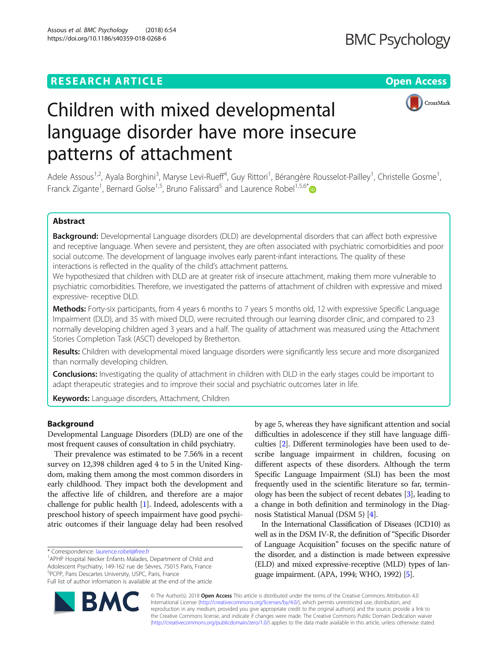## **RESEARCH ARTICLE Example 2018 12:30 THE Open Access**



# Children with mixed developmental language disorder have more insecure patterns of attachment

Adele Assous<sup>1,2</sup>, Ayala Borghini<sup>3</sup>, Maryse Levi-Rueff<sup>4</sup>, Guy Rittori<sup>1</sup>, Bérangère Rousselot-Pailley<sup>1</sup>, Christelle Gosme<sup>1</sup> , Franck Zigante<sup>1</sup>, Bernard Golse<sup>1,5</sup>, Bruno Falissard<sup>5</sup> and Laurence Robel<sup>1,5,6\*</sup>

## Abstract

Background: Developmental Language disorders (DLD) are developmental disorders that can affect both expressive and receptive language. When severe and persistent, they are often associated with psychiatric comorbidities and poor social outcome. The development of language involves early parent-infant interactions. The quality of these interactions is reflected in the quality of the child's attachment patterns.

We hypothesized that children with DLD are at greater risk of insecure attachment, making them more vulnerable to psychiatric comorbidities. Therefore, we investigated the patterns of attachment of children with expressive and mixed expressive- receptive DLD.

Methods: Forty-six participants, from 4 years 6 months to 7 years 5 months old, 12 with expressive Specific Language Impairment (DLD), and 35 with mixed DLD, were recruited through our learning disorder clinic, and compared to 23 normally developing children aged 3 years and a half. The quality of attachment was measured using the Attachment Stories Completion Task (ASCT) developed by Bretherton.

Results: Children with developmental mixed language disorders were significantly less secure and more disorganized than normally developing children.

**Conclusions:** Investigating the quality of attachment in children with DLD in the early stages could be important to adapt therapeutic strategies and to improve their social and psychiatric outcomes later in life.

**Keywords:** Language disorders, Attachment, Children

## Background

Developmental Language Disorders (DLD) are one of the most frequent causes of consultation in child psychiatry.

Their prevalence was estimated to be 7.56% in a recent survey on 12,398 children aged 4 to 5 in the United Kingdom, making them among the most common disorders in early childhood. They impact both the development and the affective life of children, and therefore are a major challenge for public health [[1](#page-7-0)]. Indeed, adolescents with a preschool history of speech impairment have good psychiatric outcomes if their language delay had been resolved

<sup>1</sup> APHP Hospital Necker Enfants Malades, Department of Child and Adolescent Psychiatry, 149-162 rue de Sèvres, 75015 Paris, France 5 PCPP, Paris Descartes University, USPC, Paris, France Full list of author information is available at the end of the article

by age 5, whereas they have significant attention and social difficulties in adolescence if they still have language difficulties [\[2\]](#page-7-0). Different terminologies have been used to describe language impairment in children, focusing on different aspects of these disorders. Although the term Specific Language Impairment (SLI) has been the most frequently used in the scientific literature so far, terminology has been the subject of recent debates [\[3](#page-7-0)], leading to a change in both definition and terminology in the Diagnosis Statistical Manual (DSM 5) [\[4\]](#page-7-0).

In the International Classification of Diseases (ICD10) as well as in the DSM IV-R, the definition of "Specific Disorder of Language Acquisition" focuses on the specific nature of the disorder, and a distinction is made between expressive (ELD) and mixed expressive-receptive (MLD) types of language impairment. (APA, 1994; WHO, 1992) [[5](#page-7-0)].



© The Author(s). 2018 Open Access This article is distributed under the terms of the Creative Commons Attribution 4.0 International License [\(http://creativecommons.org/licenses/by/4.0/](http://creativecommons.org/licenses/by/4.0/)), which permits unrestricted use, distribution, and reproduction in any medium, provided you give appropriate credit to the original author(s) and the source, provide a link to the Creative Commons license, and indicate if changes were made. The Creative Commons Public Domain Dedication waiver [\(http://creativecommons.org/publicdomain/zero/1.0/](http://creativecommons.org/publicdomain/zero/1.0/)) applies to the data made available in this article, unless otherwise stated.

<sup>\*</sup> Correspondence: [laurence.robel@free.fr](mailto:laurence.robel@free.fr) <sup>1</sup>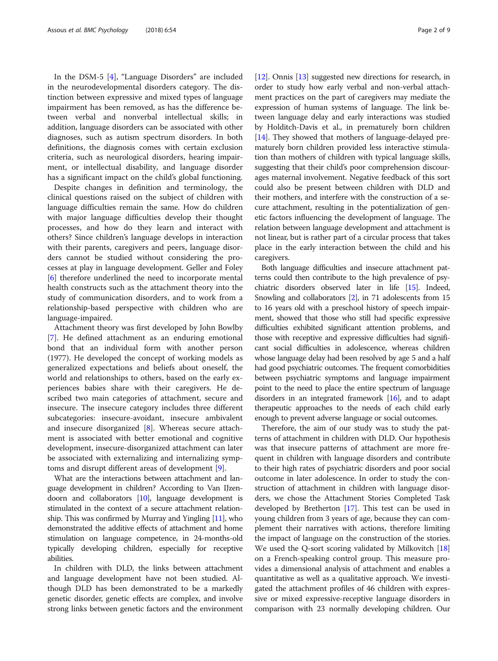In the DSM-5 [\[4](#page-7-0)], "Language Disorders" are included in the neurodevelopmental disorders category. The distinction between expressive and mixed types of language impairment has been removed, as has the difference between verbal and nonverbal intellectual skills; in addition, language disorders can be associated with other diagnoses, such as autism spectrum disorders. In both definitions, the diagnosis comes with certain exclusion criteria, such as neurological disorders, hearing impairment, or intellectual disability, and language disorder has a significant impact on the child's global functioning.

Despite changes in definition and terminology, the clinical questions raised on the subject of children with language difficulties remain the same. How do children with major language difficulties develop their thought processes, and how do they learn and interact with others? Since children's language develops in interaction with their parents, caregivers and peers, language disorders cannot be studied without considering the processes at play in language development. Geller and Foley [[6\]](#page-7-0) therefore underlined the need to incorporate mental health constructs such as the attachment theory into the study of communication disorders, and to work from a relationship-based perspective with children who are language-impaired.

Attachment theory was first developed by John Bowlby [[7\]](#page-8-0). He defined attachment as an enduring emotional bond that an individual form with another person (1977). He developed the concept of working models as generalized expectations and beliefs about oneself, the world and relationships to others, based on the early experiences babies share with their caregivers. He described two main categories of attachment, secure and insecure. The insecure category includes three different subcategories: insecure-avoidant, insecure ambivalent and insecure disorganized [\[8\]](#page-8-0). Whereas secure attachment is associated with better emotional and cognitive development, insecure-disorganized attachment can later be associated with externalizing and internalizing symptoms and disrupt different areas of development [[9\]](#page-8-0).

What are the interactions between attachment and language development in children? According to Van IJzendoorn and collaborators [[10](#page-8-0)], language development is stimulated in the context of a secure attachment relationship. This was confirmed by Murray and Yingling [[11](#page-8-0)], who demonstrated the additive effects of attachment and home stimulation on language competence, in 24-months-old typically developing children, especially for receptive abilities.

In children with DLD, the links between attachment and language development have not been studied. Although DLD has been demonstrated to be a markedly genetic disorder, genetic effects are complex, and involve strong links between genetic factors and the environment [[12](#page-8-0)]. Onnis [[13](#page-8-0)] suggested new directions for research, in order to study how early verbal and non-verbal attachment practices on the part of caregivers may mediate the expression of human systems of language. The link between language delay and early interactions was studied by Holditch-Davis et al., in prematurely born children [[14](#page-8-0)]. They showed that mothers of language-delayed prematurely born children provided less interactive stimulation than mothers of children with typical language skills, suggesting that their child's poor comprehension discourages maternal involvement. Negative feedback of this sort could also be present between children with DLD and their mothers, and interfere with the construction of a secure attachment, resulting in the potentialization of genetic factors influencing the development of language. The relation between language development and attachment is not linear, but is rather part of a circular process that takes place in the early interaction between the child and his caregivers.

Both language difficulties and insecure attachment patterns could then contribute to the high prevalence of psychiatric disorders observed later in life [\[15](#page-8-0)]. Indeed, Snowling and collaborators [\[2\]](#page-7-0), in 71 adolescents from 15 to 16 years old with a preschool history of speech impairment, showed that those who still had specific expressive difficulties exhibited significant attention problems, and those with receptive and expressive difficulties had significant social difficulties in adolescence, whereas children whose language delay had been resolved by age 5 and a half had good psychiatric outcomes. The frequent comorbidities between psychiatric symptoms and language impairment point to the need to place the entire spectrum of language disorders in an integrated framework [\[16](#page-8-0)], and to adapt therapeutic approaches to the needs of each child early enough to prevent adverse language or social outcomes.

Therefore, the aim of our study was to study the patterns of attachment in children with DLD. Our hypothesis was that insecure patterns of attachment are more frequent in children with language disorders and contribute to their high rates of psychiatric disorders and poor social outcome in later adolescence. In order to study the construction of attachment in children with language disorders, we chose the Attachment Stories Completed Task developed by Bretherton [[17](#page-8-0)]. This test can be used in young children from 3 years of age, because they can complement their narratives with actions, therefore limiting the impact of language on the construction of the stories. We used the Q-sort scoring validated by Milkovitch [[18](#page-8-0)] on a French-speaking control group. This measure provides a dimensional analysis of attachment and enables a quantitative as well as a qualitative approach. We investigated the attachment profiles of 46 children with expressive or mixed expressive-receptive language disorders in comparison with 23 normally developing children. Our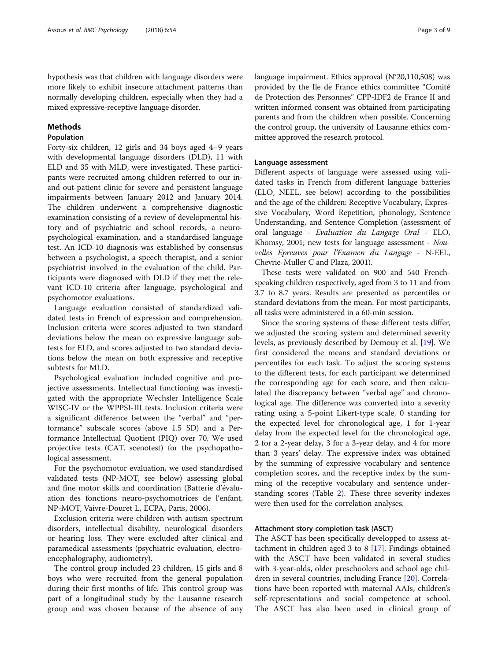hypothesis was that children with language disorders were more likely to exhibit insecure attachment patterns than normally developing children, especially when they had a mixed expressive-receptive language disorder.

## Methods

## Population

Forty-six children, 12 girls and 34 boys aged 4–9 years with developmental language disorders (DLD), 11 with ELD and 35 with MLD, were investigated. These participants were recruited among children referred to our inand out-patient clinic for severe and persistent language impairments between January 2012 and January 2014. The children underwent a comprehensive diagnostic examination consisting of a review of developmental history and of psychiatric and school records, a neuropsychological examination, and a standardised language test. An ICD-10 diagnosis was established by consensus between a psychologist, a speech therapist, and a senior psychiatrist involved in the evaluation of the child. Participants were diagnosed with DLD if they met the relevant ICD-10 criteria after language, psychological and psychomotor evaluations.

Language evaluation consisted of standardized validated tests in French of expression and comprehension. Inclusion criteria were scores adjusted to two standard deviations below the mean on expressive language subtests for ELD, and scores adjusted to two standard deviations below the mean on both expressive and receptive subtests for MLD.

Psychological evaluation included cognitive and projective assessments. Intellectual functioning was investigated with the appropriate Wechsler Intelligence Scale WISC-IV or the WPPSI-III tests. Inclusion criteria were a significant difference between the "verbal" and "performance" subscale scores (above 1.5 SD) and a Performance Intellectual Quotient (PIQ) over 70. We used projective tests (CAT, scenotest) for the psychopathological assessment.

For the psychomotor evaluation, we used standardised validated tests (NP-MOT, see below) assessing global and fine motor skills and coordination (Batterie d'évaluation des fonctions neuro-psychomotrices de l'enfant, NP-MOT, Vaivre-Douret L, ECPA, Paris, 2006).

Exclusion criteria were children with autism spectrum disorders, intellectual disability, neurological disorders or hearing loss. They were excluded after clinical and paramedical assessments (psychiatric evaluation, electroencephalography, audiometry).

The control group included 23 children, 15 girls and 8 boys who were recruited from the general population during their first months of life. This control group was part of a longitudinal study by the Lausanne research group and was chosen because of the absence of any language impairment. Ethics approval (N°20,110,508) was provided by the Ile de France ethics committee "Comité de Protection des Personnes" CPP-IDF2 de France II and written informed consent was obtained from participating parents and from the children when possible. Concerning the control group, the university of Lausanne ethics committee approved the research protocol.

## Language assessment

Different aspects of language were assessed using validated tasks in French from different language batteries (ELO, NEEL, see below) according to the possibilities and the age of the children: Receptive Vocabulary, Expressive Vocabulary, Word Repetition, phonology, Sentence Understanding, and Sentence Completion (assessment of oral language - Evaluation du Langage Oral - ELO, Khomsy, 2001; new tests for language assessment - Nouvelles Epreuves pour l'Examen du Langage - N-EEL, Chevrie-Muller C and Plaza, 2001).

These tests were validated on 900 and 540 Frenchspeaking children respectively, aged from 3 to 11 and from 3.7 to 8.7 years. Results are presented as percentiles or standard deviations from the mean. For most participants, all tasks were administered in a 60-min session.

Since the scoring systems of these different tests differ, we adjusted the scoring system and determined severity levels, as previously described by Demouy et al. [\[19\]](#page-8-0). We first considered the means and standard deviations or percentiles for each task. To adjust the scoring systems to the different tests, for each participant we determined the corresponding age for each score, and then calculated the discrepancy between "verbal age" and chronological age. The difference was converted into a severity rating using a 5-point Likert-type scale, 0 standing for the expected level for chronological age, 1 for 1-year delay from the expected level for the chronological age, 2 for a 2-year delay, 3 for a 3-year delay, and 4 for more than 3 years' delay. The expressive index was obtained by the summing of expressive vocabulary and sentence completion scores, and the receptive index by the summing of the receptive vocabulary and sentence understanding scores (Table [2](#page-4-0)). These three severity indexes were then used for the correlation analyses.

## Attachment story completion task (ASCT)

The ASCT has been specifically developped to assess attachment in children aged 3 to 8 [[17\]](#page-8-0). Findings obtained with the ASCT have been validated in several studies with 3-year-olds, older preschoolers and school age children in several countries, including France [\[20](#page-8-0)]. Correlations have been reported with maternal AAIs, children's self-representations and social competence at school. The ASCT has also been used in clinical group of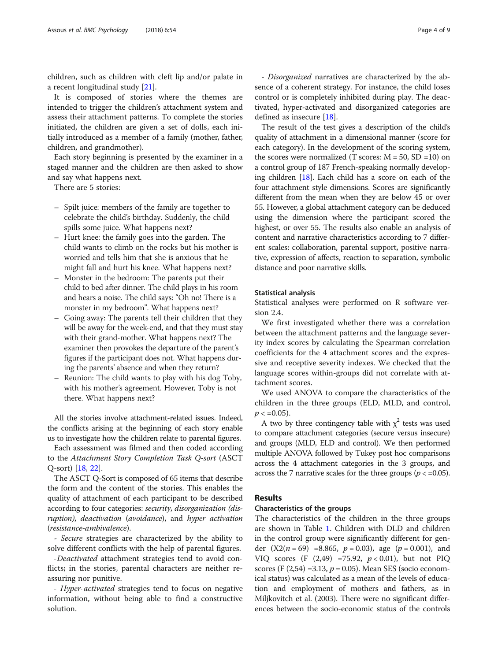children, such as children with cleft lip and/or palate in a recent longitudinal study [\[21](#page-8-0)].

It is composed of stories where the themes are intended to trigger the children's attachment system and assess their attachment patterns. To complete the stories initiated, the children are given a set of dolls, each initially introduced as a member of a family (mother, father, children, and grandmother).

Each story beginning is presented by the examiner in a staged manner and the children are then asked to show and say what happens next.

There are 5 stories:

- Spilt juice: members of the family are together to celebrate the child's birthday. Suddenly, the child spills some juice. What happens next?
- Hurt knee: the family goes into the garden. The child wants to climb on the rocks but his mother is worried and tells him that she is anxious that he might fall and hurt his knee. What happens next?
- Monster in the bedroom: The parents put their child to bed after dinner. The child plays in his room and hears a noise. The child says: "Oh no! There is a monster in my bedroom". What happens next?
- Going away: The parents tell their children that they will be away for the week-end, and that they must stay with their grand-mother. What happens next? The examiner then provokes the departure of the parent's figures if the participant does not. What happens during the parents' absence and when they return?
- Reunion: The child wants to play with his dog Toby, with his mother's agreement. However, Toby is not there. What happens next?

All the stories involve attachment-related issues. Indeed, the conflicts arising at the beginning of each story enable us to investigate how the children relate to parental figures.

Each assessment was filmed and then coded according to the Attachment Story Completion Task Q-sort (ASCT Q-sort) [[18,](#page-8-0) [22\]](#page-8-0).

The ASCT Q-Sort is composed of 65 items that describe the form and the content of the stories. This enables the quality of attachment of each participant to be described according to four categories: security, disorganization (disruption), deactivation (avoidance), and hyper activation (resistance-ambivalence).

- Secure strategies are characterized by the ability to solve different conflicts with the help of parental figures.

-Deactivated attachment strategies tend to avoid conflicts; in the stories, parental characters are neither reassuring nor punitive.

- Hyper-activated strategies tend to focus on negative information, without being able to find a constructive solution.

- Disorganized narratives are characterized by the absence of a coherent strategy. For instance, the child loses control or is completely inhibited during play. The deactivated, hyper-activated and disorganized categories are defined as insecure [\[18\]](#page-8-0).

The result of the test gives a description of the child's quality of attachment in a dimensional manner (score for each category). In the development of the scoring system, the scores were normalized (T scores:  $M = 50$ , SD = 10) on a control group of 187 French-speaking normally developing children [\[18\]](#page-8-0). Each child has a score on each of the four attachment style dimensions. Scores are significantly different from the mean when they are below 45 or over 55. However, a global attachment category can be deduced using the dimension where the participant scored the highest, or over 55. The results also enable an analysis of content and narrative characteristics according to 7 different scales: collaboration, parental support, positive narrative, expression of affects, reaction to separation, symbolic distance and poor narrative skills.

#### Statistical analysis

Statistical analyses were performed on R software version 2.4.

We first investigated whether there was a correlation between the attachment patterns and the language severity index scores by calculating the Spearman correlation coefficients for the 4 attachment scores and the expressive and receptive severity indexes. We checked that the language scores within-groups did not correlate with attachment scores.

We used ANOVA to compare the characteristics of the children in the three groups (ELD, MLD, and control,  $p < =0.05$ ).

A two by three contingency table with  $\chi^2$  tests was used to compare attachment categories (secure versus insecure) and groups (MLD, ELD and control). We then performed multiple ANOVA followed by Tukey post hoc comparisons across the 4 attachment categories in the 3 groups, and across the 7 narrative scales for the three groups ( $p < 0.05$ ).

## Results

## Characteristics of the groups

The characteristics of the children in the three groups are shown in Table [1.](#page-4-0) Children with DLD and children in the control group were significantly different for gender  $(X2(n = 69) = 8.865, p = 0.03)$ , age  $(p = 0.001)$ , and VIQ scores (F  $(2,49)$  =75.92,  $p < 0.01$ ), but not PIQ scores (F  $(2,54)$  =3.13,  $p = 0.05$ ). Mean SES (socio economical status) was calculated as a mean of the levels of education and employment of mothers and fathers, as in Miljkovitch et al. (2003). There were no significant differences between the socio-economic status of the controls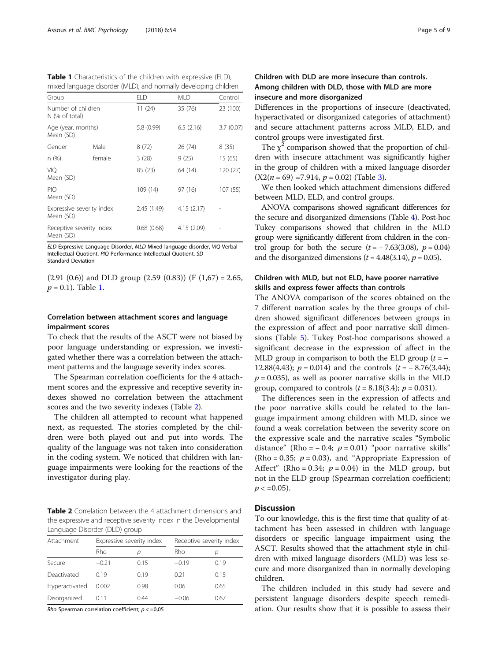<span id="page-4-0"></span>Table 1 Characteristics of the children with expressive (ELD), mixed language disorder (MLD), and normally developing children

| Group                                  |        | ELD        | <b>MLD</b>  | Control   |
|----------------------------------------|--------|------------|-------------|-----------|
| Number of children<br>N (% of total)   |        | 11(24)     | 35 (76)     | 23 (100)  |
| Age (year. months)<br>Mean (SD)        |        | 5.8 (0.99) | 6.5(2.16)   | 3.7(0.07) |
| Gender                                 | Male   | 8(72)      | 26 (74)     | 8(35)     |
| n (%)                                  | female | 3(28)      | 9(25)       | 15 (65)   |
| VIO<br>Mean (SD)                       |        | 85 (23)    | 64 (14)     | 120 (27)  |
| PIO<br>Mean (SD)                       |        | 109 (14)   | 97 (16)     | 107 (55)  |
| Expressive severity index<br>Mean (SD) |        | 2.45(1.49) | 4.15(2.17)  |           |
| Receptive severity index<br>Mean (SD)  |        | 0.68(0.68) | 4.15 (2.09) |           |

ELD Expressive Language Disorder, MLD Mixed language disorder, VIQ Verbal Intellectual Quotient, PIQ Performance Intellectual Quotient, SD Standard Deviation

 $(2.91 (0.6))$  and DLD group  $(2.59 (0.83))$  (F  $(1.67) = 2.65$ ,  $p = 0.1$ ). Table 1.

## Correlation between attachment scores and language impairment scores

To check that the results of the ASCT were not biased by poor language understanding or expression, we investigated whether there was a correlation between the attachment patterns and the language severity index scores.

The Spearman correlation coefficients for the 4 attachment scores and the expressive and receptive severity indexes showed no correlation between the attachment scores and the two severity indexes (Table 2).

The children all attempted to recount what happened next, as requested. The stories completed by the children were both played out and put into words. The quality of the language was not taken into consideration in the coding system. We noticed that children with language impairments were looking for the reactions of the investigator during play.

Table 2 Correlation between the 4 attachment dimensions and the expressive and receptive severity index in the Developmental Language Disorder (DLD) group

| Attachment     | Expressive severity index |      | Receptive severity index |      |  |
|----------------|---------------------------|------|--------------------------|------|--|
|                | Rho                       |      | Rho                      |      |  |
| Secure         | $-0.21$                   | 0.15 | $-0.19$                  | 0.19 |  |
| Deactivated    | 019                       | 0.19 | 0.21                     | 0.15 |  |
| Hyperactivated | 0.002                     | 0.98 | 0.06                     | 0.65 |  |
| Disorganized   | O 11                      | 0.44 | $-0.06$                  | 0.67 |  |

Rho Spearman correlation coefficient;  $p < =0.05$ 

## Children with DLD are more insecure than controls. Among children with DLD, those with MLD are more insecure and more disorganized

Differences in the proportions of insecure (deactivated, hyperactivated or disorganized categories of attachment) and secure attachment patterns across MLD, ELD, and control groups were investigated first.

The  $\chi^2$  comparison showed that the proportion of children with insecure attachment was significantly higher in the group of children with a mixed language disorder  $(X2(n = 69) = 7.914, p = 0.02)$  (Table [3](#page-5-0)).

We then looked which attachment dimensions differed between MLD, ELD, and control groups.

ANOVA comparisons showed significant differences for the secure and disorganized dimensions (Table [4](#page-5-0)). Post-hoc Tukey comparisons showed that children in the MLD group were significantly different from children in the control group for both the secure  $(t = -7.63(3.08), p = 0.04)$ and the disorganized dimensions ( $t = 4.48(3.14)$ ,  $p = 0.05$ ).

## Children with MLD, but not ELD, have poorer narrative skills and express fewer affects than controls

The ANOVA comparison of the scores obtained on the 7 different narration scales by the three groups of children showed significant differences between groups in the expression of affect and poor narrative skill dimensions (Table [5](#page-6-0)). Tukey Post-hoc comparisons showed a significant decrease in the expression of affect in the MLD group in comparison to both the ELD group  $(t = -1)$ 12.88(4.43);  $p = 0.014$ ) and the controls  $(t = -8.76(3.44))$ ;  $p = 0.035$ ), as well as poorer narrative skills in the MLD group, compared to controls  $(t = 8.18(3.4); p = 0.031)$ .

The differences seen in the expression of affects and the poor narrative skills could be related to the language impairment among children with MLD, since we found a weak correlation between the severity score on the expressive scale and the narrative scales "Symbolic distance" (Rho =  $-0.4$ ;  $p = 0.01$ ) "poor narrative skills" (Rho = 0.35;  $p = 0.03$ ), and "Appropriate Expression of Affect" (Rho = 0.34;  $p = 0.04$ ) in the MLD group, but not in the ELD group (Spearman correlation coefficient;  $p < =0.05$ ).

#### **Discussion**

To our knowledge, this is the first time that quality of attachment has been assessed in children with language disorders or specific language impairment using the ASCT. Results showed that the attachment style in children with mixed language disorders (MLD) was less secure and more disorganized than in normally developing children.

The children included in this study had severe and persistent language disorders despite speech remediation. Our results show that it is possible to assess their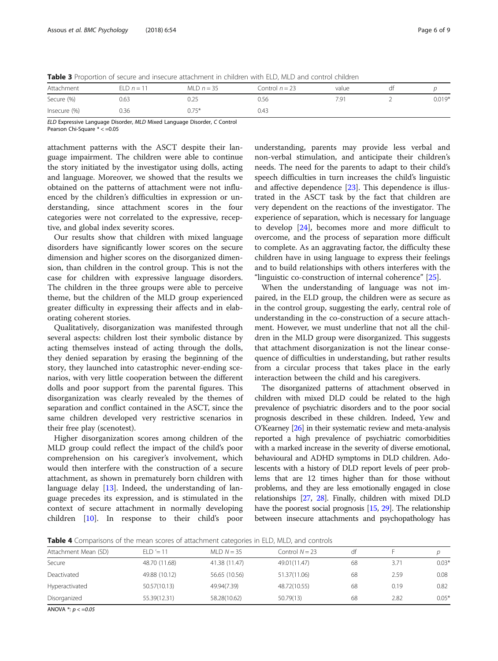<span id="page-5-0"></span>Table 3 Proportion of secure and insecure attachment in children with ELD, MLD and control children

| Attachment   | $ELD n = 11$ | MLD $n = 35$ | Control $n = 23$ | value | dt |          |
|--------------|--------------|--------------|------------------|-------|----|----------|
| Secure (%)   | 0.63         | 0.25         | 0.56             | 7.91  |    | $0.019*$ |
| Insecure (%) | 0.36         | $0.75*$      | 0.43             |       |    |          |

ELD Expressive Language Disorder, MLD Mixed Language Disorder, C Control

Pearson Chi-Square \* < = 0.05

attachment patterns with the ASCT despite their language impairment. The children were able to continue the story initiated by the investigator using dolls, acting and language. Moreover, we showed that the results we obtained on the patterns of attachment were not influenced by the children's difficulties in expression or understanding, since attachment scores in the four categories were not correlated to the expressive, receptive, and global index severity scores.

Our results show that children with mixed language disorders have significantly lower scores on the secure dimension and higher scores on the disorganized dimension, than children in the control group. This is not the case for children with expressive language disorders. The children in the three groups were able to perceive theme, but the children of the MLD group experienced greater difficulty in expressing their affects and in elaborating coherent stories.

Qualitatively, disorganization was manifested through several aspects: children lost their symbolic distance by acting themselves instead of acting through the dolls, they denied separation by erasing the beginning of the story, they launched into catastrophic never-ending scenarios, with very little cooperation between the different dolls and poor support from the parental figures. This disorganization was clearly revealed by the themes of separation and conflict contained in the ASCT, since the same children developed very restrictive scenarios in their free play (scenotest).

Higher disorganization scores among children of the MLD group could reflect the impact of the child's poor comprehension on his caregiver's involvement, which would then interfere with the construction of a secure attachment, as shown in prematurely born children with language delay [\[13](#page-8-0)]. Indeed, the understanding of language precedes its expression, and is stimulated in the context of secure attachment in normally developing children [[10\]](#page-8-0). In response to their child's poor

understanding, parents may provide less verbal and non-verbal stimulation, and anticipate their children's needs. The need for the parents to adapt to their child's speech difficulties in turn increases the child's linguistic and affective dependence [[23\]](#page-8-0). This dependence is illustrated in the ASCT task by the fact that children are very dependent on the reactions of the investigator. The experience of separation, which is necessary for language to develop [\[24](#page-8-0)], becomes more and more difficult to overcome, and the process of separation more difficult to complete. As an aggravating factor, the difficulty these children have in using language to express their feelings and to build relationships with others interferes with the "linguistic co-construction of internal coherence" [[25](#page-8-0)].

When the understanding of language was not impaired, in the ELD group, the children were as secure as in the control group, suggesting the early, central role of understanding in the co-construction of a secure attachment. However, we must underline that not all the children in the MLD group were disorganized. This suggests that attachment disorganization is not the linear consequence of difficulties in understanding, but rather results from a circular process that takes place in the early interaction between the child and his caregivers.

The disorganized patterns of attachment observed in children with mixed DLD could be related to the high prevalence of psychiatric disorders and to the poor social prognosis described in these children. Indeed, Yew and O'Kearney [\[26\]](#page-8-0) in their systematic review and meta-analysis reported a high prevalence of psychiatric comorbidities with a marked increase in the severity of diverse emotional, behavioural and ADHD symptoms in DLD children. Adolescents with a history of DLD report levels of peer problems that are 12 times higher than for those without problems, and they are less emotionally engaged in close relationships [\[27,](#page-8-0) [28](#page-8-0)]. Finally, children with mixed DLD have the poorest social prognosis [\[15](#page-8-0), [29\]](#page-8-0). The relationship between insecure attachments and psychopathology has

Table 4 Comparisons of the mean scores of attachment categories in ELD, MLD, and controls

| Attachment Mean (SD) | $FID = 11$    | MID $N = 35$  | Control $N = 23$ | df |      |         |
|----------------------|---------------|---------------|------------------|----|------|---------|
| Secure               | 48.70 (11.68) | 41.38 (11.47) | 49.01(11.47)     | 68 | 3.71 | $0.03*$ |
| Deactivated          | 49.88 (10.12) | 56.65 (10.56) | 51.37(11.06)     | 68 | 2.59 | 0.08    |
| Hyperactivated       | 50.57(10.13)  | 49.94(7.39)   | 48.72(10.55)     | 68 | 0.19 | 0.82    |
| Disorganized         | 55.39(12.31)  | 58.28(10.62)  | 50.79(13)        | 68 | 2.82 | $0.05*$ |
| .                    |               |               |                  |    |      |         |

ANOVA  $*: p < =0.05$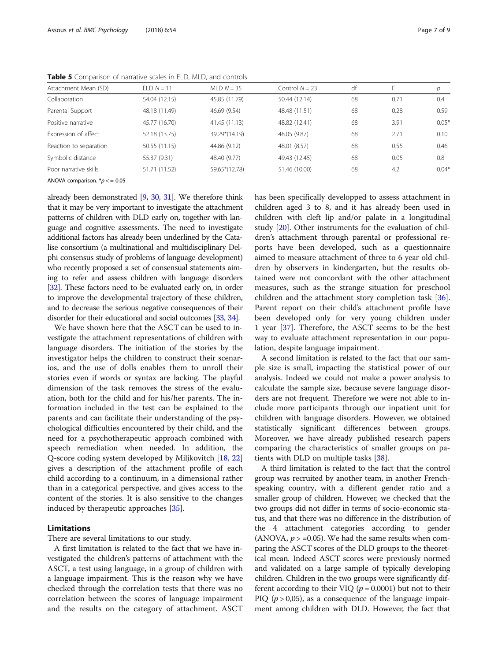| Attachment Mean (SD)   | $ELD N = 11$  | $MLD N = 35$  | Control $N = 23$ | df |      | р       |
|------------------------|---------------|---------------|------------------|----|------|---------|
| Collaboration          | 54.04 (12.15) | 45.85 (11.79) | 50.44 (12.14)    | 68 | 0.71 | 0.4     |
| Parental Support       | 48.18 (11.49) | 46.69 (9.54)  | 48.48 (11.51)    | 68 | 0.28 | 0.59    |
| Positive narrative     | 45.77 (16.70) | 41.45 (11.13) | 48.82 (12.41)    | 68 | 3.91 | $0.05*$ |
| Expression of affect   | 52.18 (13.75) | 39.29*(14.19) | 48.05 (9.87)     | 68 | 2.71 | 0.10    |
| Reaction to separation | 50.55 (11.15) | 44.86 (9.12)  | 48.01 (8.57)     | 68 | 0.55 | 0.46    |
| Symbolic distance      | 55.37 (9.31)  | 48.40 (9.77)  | 49.43 (12.45)    | 68 | 0.05 | 0.8     |
| Poor narrative skills  | 51.71 (11.52) | 59.65*(12.78) | 51.46 (10.00)    | 68 | 4.2  | $0.04*$ |

<span id="page-6-0"></span>Table 5 Comparison of narrative scales in ELD, MLD, and controls

ANOVA comparison.  $p' < 0.05$ 

already been demonstrated [\[9](#page-8-0), [30](#page-8-0), [31](#page-8-0)]. We therefore think that it may be very important to investigate the attachment patterns of children with DLD early on, together with language and cognitive assessments. The need to investigate additional factors has already been underlined by the Catalise consortium (a multinational and multidisciplinary Delphi consensus study of problems of language development) who recently proposed a set of consensual statements aiming to refer and assess children with language disorders [[32](#page-8-0)]. These factors need to be evaluated early on, in order to improve the developmental trajectory of these children, and to decrease the serious negative consequences of their disorder for their educational and social outcomes [[33,](#page-8-0) [34\]](#page-8-0).

We have shown here that the ASCT can be used to investigate the attachment representations of children with language disorders. The initiation of the stories by the investigator helps the children to construct their scenarios, and the use of dolls enables them to unroll their stories even if words or syntax are lacking. The playful dimension of the task removes the stress of the evaluation, both for the child and for his/her parents. The information included in the test can be explained to the parents and can facilitate their understanding of the psychological difficulties encountered by their child, and the need for a psychotherapeutic approach combined with speech remediation when needed. In addition, the Q-score coding system developed by Miljkovitch [[18](#page-8-0), [22](#page-8-0)] gives a description of the attachment profile of each child according to a continuum, in a dimensional rather than in a categorical perspective, and gives access to the content of the stories. It is also sensitive to the changes induced by therapeutic approaches [[35](#page-8-0)].

## Limitations

There are several limitations to our study.

A first limitation is related to the fact that we have investigated the children's patterns of attachment with the ASCT, a test using language, in a group of children with a language impairment. This is the reason why we have checked through the correlation tests that there was no correlation between the scores of language impairment and the results on the category of attachment. ASCT has been specifically developped to assess attachment in children aged 3 to 8, and it has already been used in children with cleft lip and/or palate in a longitudinal study [\[20](#page-8-0)]. Other instruments for the evaluation of children's attachment through parental or professional reports have been developed, such as a questionnaire aimed to measure attachment of three to 6 year old children by observers in kindergarten, but the results obtained were not concordant with the other attachment measures, such as the strange situation for preschool children and the attachment story completion task [\[36](#page-8-0)]. Parent report on their child's attachment profile have been developed only for very young children under 1 year [\[37\]](#page-8-0). Therefore, the ASCT seems to be the best way to evaluate attachment representation in our population, despite language impairment.

A second limitation is related to the fact that our sample size is small, impacting the statistical power of our analysis. Indeed we could not make a power analysis to calculate the sample size, because severe language disorders are not frequent. Therefore we were not able to include more participants through our inpatient unit for children with language disorders. However, we obtained statistically significant differences between groups. Moreover, we have already published research papers comparing the characteristics of smaller groups on patients with DLD on multiple tasks [[38](#page-8-0)].

A third limitation is related to the fact that the control group was recruited by another team, in another Frenchspeaking country, with a different gender ratio and a smaller group of children. However, we checked that the two groups did not differ in terms of socio-economic status, and that there was no difference in the distribution of the 4 attachment categories according to gender (ANOVA,  $p > = 0.05$ ). We had the same results when comparing the ASCT scores of the DLD groups to the theoretical mean. Indeed ASCT scores were previously normed and validated on a large sample of typically developing children. Children in the two groups were significantly different according to their VIQ ( $p = 0.0001$ ) but not to their PIQ ( $p > 0.05$ ), as a consequence of the language impairment among children with DLD. However, the fact that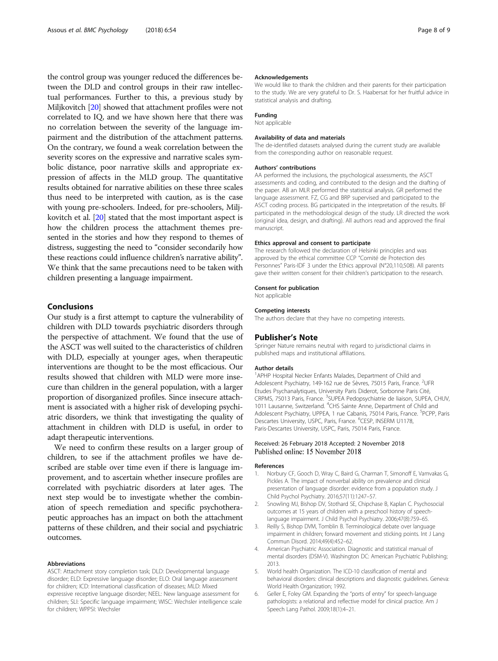<span id="page-7-0"></span>the control group was younger reduced the differences between the DLD and control groups in their raw intellectual performances. Further to this, a previous study by Miljkovitch [\[20\]](#page-8-0) showed that attachment profiles were not correlated to IQ, and we have shown here that there was no correlation between the severity of the language impairment and the distribution of the attachment patterns. On the contrary, we found a weak correlation between the severity scores on the expressive and narrative scales symbolic distance, poor narrative skills and appropriate expression of affects in the MLD group. The quantitative results obtained for narrative abilities on these three scales thus need to be interpreted with caution, as is the case with young pre-schoolers. Indeed, for pre-schoolers, Miljkovitch et al. [\[20\]](#page-8-0) stated that the most important aspect is how the children process the attachment themes presented in the stories and how they respond to themes of distress, suggesting the need to "consider secondarily how these reactions could influence children's narrative ability". We think that the same precautions need to be taken with children presenting a language impairment.

## Conclusions

Our study is a first attempt to capture the vulnerability of children with DLD towards psychiatric disorders through the perspective of attachment. We found that the use of the ASCT was well suited to the characteristics of children with DLD, especially at younger ages, when therapeutic interventions are thought to be the most efficacious. Our results showed that children with MLD were more insecure than children in the general population, with a larger proportion of disorganized profiles. Since insecure attachment is associated with a higher risk of developing psychiatric disorders, we think that investigating the quality of attachment in children with DLD is useful, in order to adapt therapeutic interventions.

We need to confirm these results on a larger group of children, to see if the attachment profiles we have described are stable over time even if there is language improvement, and to ascertain whether insecure profiles are correlated with psychiatric disorders at later ages. The next step would be to investigate whether the combination of speech remediation and specific psychotherapeutic approaches has an impact on both the attachment patterns of these children, and their social and psychiatric outcomes.

#### Abbreviations

ASCT: Attachment story completion task; DLD: Developmental language disorder; ELD: Expressive language disorder; ELO: Oral language assessment for children; ICD: International classification of diseases; MLD: Mixed expressive receptive language disorder; NEEL: New language assessment for children; SLI: Specific language impairment; WISC: Wechsler intelligence scale for children; WPPSI: Wechsler

#### Acknowledgements

We would like to thank the children and their parents for their participation to the study. We are very grateful to Dr. S. Haabersat for her fruitful advice in statistical analysis and drafting.

#### Funding

Not applicable

#### Availability of data and materials

The de-identified datasets analysed during the current study are available from the corresponding author on reasonable request.

#### Authors' contributions

AA performed the inclusions, the psychological assessments, the ASCT assessments and coding, and contributed to the design and the drafting of the paper. AB an MLR performed the statistical analysis. GR performed the language assessment. FZ, CG and BRP supervised and participated to the ASCT coding process. BG participated in the interpretation of the results. BF participated in the methodological design of the study. LR directed the work (original idea, design, and drafting). All authors read and approved the final manuscript.

#### Ethics approval and consent to participate

The research followed the declaration of Helsinki principles and was approved by the ethical committee CCP "Comité de Protection des Personnes" Paris-IDF 3 under the Ethics approval (N°20,110,508). All parents gave their written consent for their children's participation to the research.

#### Consent for publication

Not applicable

#### Competing interests

The authors declare that they have no competing interests.

#### Publisher's Note

Springer Nature remains neutral with regard to jurisdictional claims in published maps and institutional affiliations.

#### Author details

<sup>1</sup> APHP Hospital Necker Enfants Malades, Department of Child and Adolescent Psychiatry, 149-162 rue de Sèvres, 75015 Paris, France. <sup>2</sup>UFR Etudes Psychanalytiques, University Paris Diderot, Sorbonne Paris Cité, CRPMS, 75013 Paris, France. <sup>3</sup>SUPEA Pedopsychiatrie de liaison, SUPEA, CHUV 1011 Lausanne, Switzerland. <sup>4</sup>CHS Sainte Anne, Department of Child and Adolescent Psychiatry, UPPEA, 1 rue Cabanis, 75014 Paris, France. <sup>5</sup>PCPP, Paris Descartes University, USPC, Paris, France. <sup>6</sup>CESP, INSERM U1178, Paris-Descartes University, USPC, Paris, 75014 Paris, France.

## Received: 26 February 2018 Accepted: 2 November 2018 Published online: 15 November 2018

#### References

- 1. Norbury CF, Gooch D, Wray C, Baird G, Charman T, Simonoff E, Vamvakas G, Pickles A. The impact of nonverbal ability on prevalence and clinical presentation of language disorder: evidence from a population study. J Child Psychol Psychiatry. 2016;57(11):1247–57.
- 2. Snowling MJ, Bishop DV, Stothard SE, Chipchase B, Kaplan C. Psychosocial outcomes at 15 years of children with a preschool history of speechlanguage impairment. J Child Psychol Psychiatry. 2006;47(8):759–65.
- 3. Reilly S, Bishop DVM, Tomblin B. Terminological debate over language impairment in children; forward movement and sticking points. Int J Lang Commun Disord. 2014;49(4):452–62.
- 4. American Psychiatric Association. Diagnostic and statistical manual of mental disorders (DSM-V). Washington DC: American Psychiatric Publishing; 2013.
- 5. World health Organization. The ICD-10 classification of mental and behavioral disorders: clinical descriptions and diagnostic guidelines. Geneva: World Health Organization; 1992.
- Geller E, Foley GM. Expanding the "ports of entry" for speech-language pathologists: a relational and reflective model for clinical practice. Am J Speech Lang Pathol. 2009;18(1):4–21.